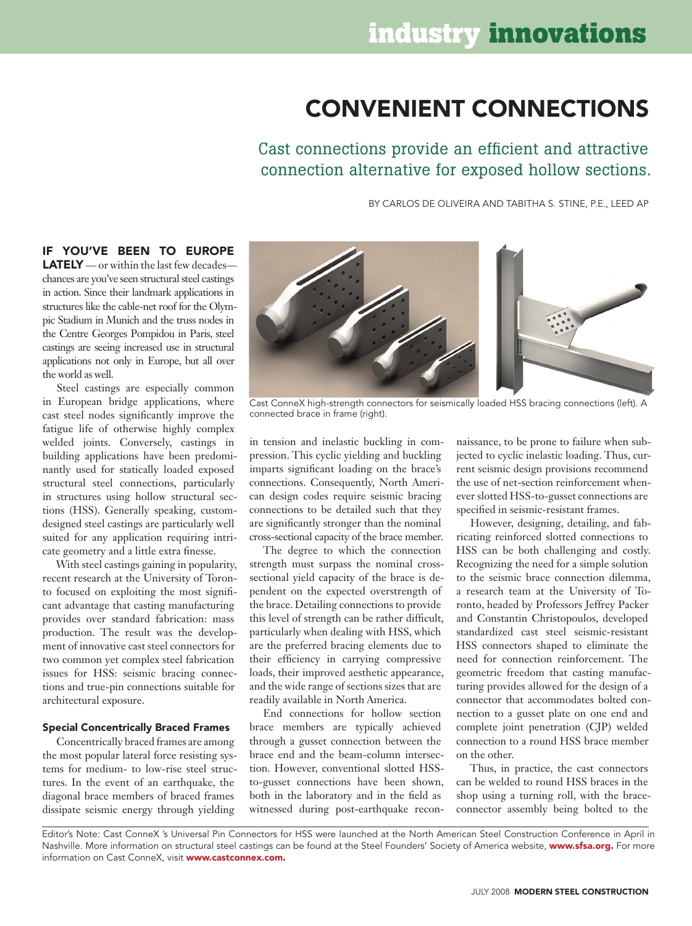# Convenient Connections

Cast connections provide an efficient and attractive connection alternative for exposed hollow sections.

By Carlos de Oliveira and Tabitha S. Stine, P.E., LEED AP



Cast ConneX high-strength connectors for seismically loaded HSS bracing connections (left). A connected brace in frame (right).

in tension and inelastic buckling in compression. This cyclic yielding and buckling imparts significant loading on the brace's connections. Consequently, North American design codes require seismic bracing connections to be detailed such that they are significantly stronger than the nominal cross-sectional capacity of the brace member.

The degree to which the connection strength must surpass the nominal crosssectional yield capacity of the brace is dependent on the expected overstrength of the brace. Detailing connections to provide this level of strength can be rather difficult, particularly when dealing with HSS, which are the preferred bracing elements due to their efficiency in carrying compressive loads, their improved aesthetic appearance, and the wide range of sections sizes that are readily available in North America.

End connections for hollow section brace members are typically achieved through a gusset connection between the brace end and the beam-column intersection. However, conventional slotted HSSto-gusset connections have been shown, both in the laboratory and in the field as witnessed during post-earthquake reconnaissance, to be prone to failure when subjected to cyclic inelastic loading. Thus, current seismic design provisions recommend the use of net-section reinforcement whenever slotted HSS-to-gusset connections are specified in seismic-resistant frames.

However, designing, detailing, and fabricating reinforced slotted connections to HSS can be both challenging and costly. Recognizing the need for a simple solution to the seismic brace connection dilemma, a research team at the University of Toronto, headed by Professors Jeffrey Packer and Constantin Christopoulos, developed standardized cast steel seismic-resistant HSS connectors shaped to eliminate the need for connection reinforcement. The geometric freedom that casting manufacturing provides allowed for the design of a connector that accommodates bolted connection to a gusset plate on one end and complete joint penetration (CJP) welded connection to a round HSS brace member on the other.

Thus, in practice, the cast connectors can be welded to round HSS braces in the shop using a turning roll, with the braceconnector assembly being bolted to the

# If you've been to Europe

**LATELY** — or within the last few decades chances are you've seen structural steel castings in action. Since their landmark applications in structures like the cable-net roof for the Olympic Stadium in Munich and the truss nodes in the Centre Georges Pompidou in Paris, steel castings are seeing increased use in structural applications not only in Europe, but all over the world as well.

Steel castings are especially common in European bridge applications, where cast steel nodes significantly improve the fatigue life of otherwise highly complex welded joints. Conversely, castings in building applications have been predominantly used for statically loaded exposed structural steel connections, particularly in structures using hollow structural sections (HSS). Generally speaking, customdesigned steel castings are particularly well suited for any application requiring intricate geometry and a little extra finesse.

With steel castings gaining in popularity, recent research at the University of Toronto focused on exploiting the most significant advantage that casting manufacturing provides over standard fabrication: mass production. The result was the development of innovative cast steel connectors for two common yet complex steel fabrication issues for HSS: seismic bracing connections and true-pin connections suitable for architectural exposure.

#### Special Concentrically Braced Frames

Concentrically braced frames are among the most popular lateral force resisting systems for medium- to low-rise steel structures. In the event of an earthquake, the diagonal brace members of braced frames dissipate seismic energy through yielding

Editor's Note: Cast ConneX 's Universal Pin Connectors for HSS were launched at the North American Steel Construction Conference in April in Nashville. More information on structural steel castings can be found at the Steel Founders' Society of America website, www.sfsa.org. For more information on Cast ConneX, visit www.castconnex.com.